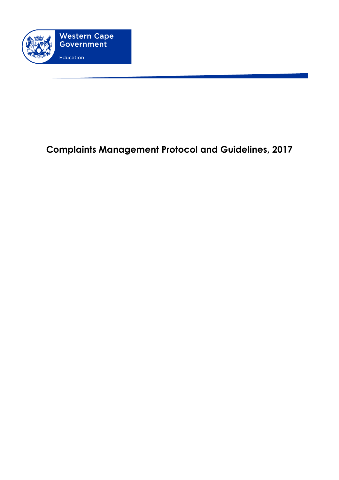

# **Complaints Management Protocol and Guidelines, 2017**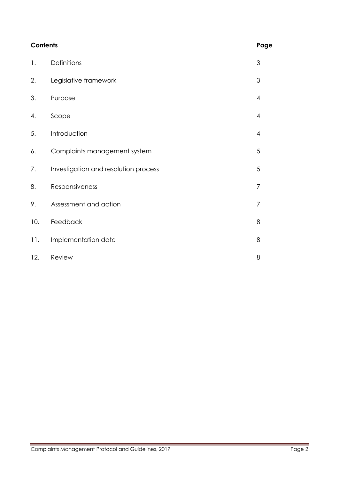| <b>Contents</b> |                                      | Page           |
|-----------------|--------------------------------------|----------------|
| 1.              | Definitions                          | 3              |
| 2.              | Legislative framework                | 3              |
| 3.              | Purpose                              | $\overline{4}$ |
| 4.              | Scope                                | $\overline{4}$ |
| 5.              | Introduction                         | $\overline{4}$ |
| 6.              | Complaints management system         | 5              |
| 7.              | Investigation and resolution process | 5              |
| 8.              | Responsiveness                       | $\overline{7}$ |
| 9.              | Assessment and action                | $\overline{7}$ |
| 10.             | Feedback                             | 8              |
| 11.             | Implementation date                  | 8              |
| 12.             | Review                               | 8              |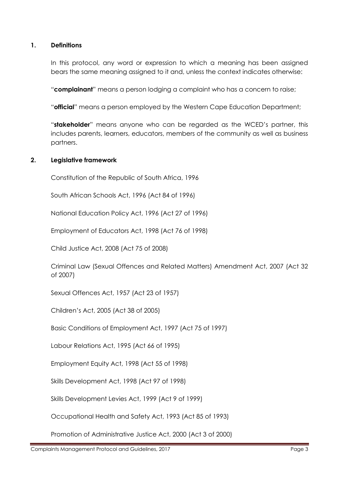# **1. Definitions**

In this protocol, any word or expression to which a meaning has been assigned bears the same meaning assigned to it and, unless the context indicates otherwise:

"**complainant**" means a person lodging a complaint who has a concern to raise;

"**official**" means a person employed by the Western Cape Education Department;

"**stakeholder**" means anyone who can be regarded as the WCED's partner, this includes parents, learners, educators, members of the community as well as business partners.

## **2. Legislative framework**

Constitution of the Republic of South Africa, 1996

South African Schools Act, 1996 (Act 84 of 1996)

National Education Policy Act, 1996 (Act 27 of 1996)

Employment of Educators Act, 1998 (Act 76 of 1998)

Child Justice Act, 2008 (Act 75 of 2008)

Criminal Law (Sexual Offences and Related Matters) Amendment Act, 2007 (Act 32 of 2007)

Sexual Offences Act, 1957 (Act 23 of 1957)

Children's Act, 2005 (Act 38 of 2005)

Basic Conditions of Employment Act, 1997 (Act 75 of 1997)

Labour Relations Act, 1995 (Act 66 of 1995)

Employment Equity Act, 1998 (Act 55 of 1998)

Skills Development Act, 1998 (Act 97 of 1998)

Skills Development Levies Act, 1999 (Act 9 of 1999)

Occupational Health and Safety Act, 1993 (Act 85 of 1993)

Promotion of Administrative Justice Act, 2000 (Act 3 of 2000)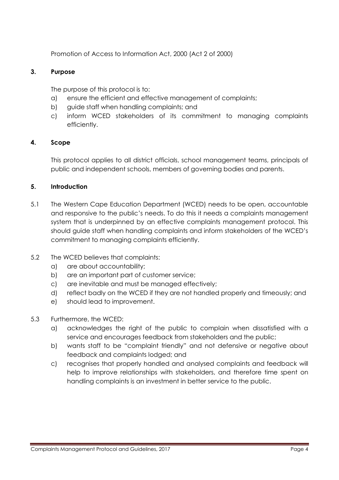Promotion of Access to Information Act, 2000 (Act 2 of 2000)

## **3. Purpose**

The purpose of this protocol is to:

- a) ensure the efficient and effective management of complaints;
- b) guide staff when handling complaints; and
- c) inform WCED stakeholders of its commitment to managing complaints efficiently.

# **4. Scope**

This protocol applies to all district officials, school management teams, principals of public and independent schools, members of governing bodies and parents.

# **5. Introduction**

- 5.1 The Western Cape Education Department (WCED) needs to be open, accountable and responsive to the public's needs. To do this it needs a complaints management system that is underpinned by an effective complaints management protocol. This should guide staff when handling complaints and inform stakeholders of the WCED's commitment to managing complaints efficiently.
- 5.2 The WCED believes that complaints:
	- a) are about accountability;
	- b) are an important part of customer service;
	- c) are inevitable and must be managed effectively;
	- d) reflect badly on the WCED if they are not handled properly and timeously; and
	- e) should lead to improvement.
- 5.3 Furthermore, the WCED:
	- a) acknowledges the right of the public to complain when dissatisfied with a service and encourages feedback from stakeholders and the public;
	- b) wants staff to be "complaint friendly" and not defensive or negative about feedback and complaints lodged; and
	- c) recognises that properly handled and analysed complaints and feedback will help to improve relationships with stakeholders, and therefore time spent on handling complaints is an investment in better service to the public.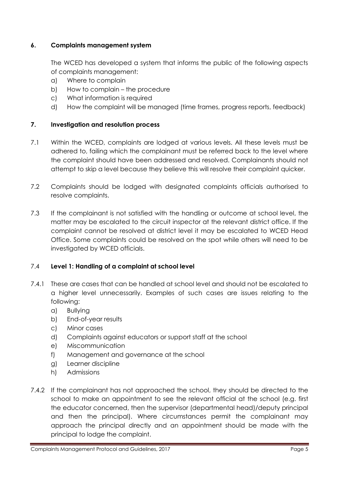# **6. Complaints management system**

The WCED has developed a system that informs the public of the following aspects of complaints management:

- a) Where to complain
- b) How to complain the procedure
- c) What information is required
- d) How the complaint will be managed (time frames, progress reports, feedback)

## **7. Investigation and resolution process**

- 7.1 Within the WCED, complaints are lodged at various levels. All these levels must be adhered to, failing which the complainant must be referred back to the level where the complaint should have been addressed and resolved. Complainants should not attempt to skip a level because they believe this will resolve their complaint quicker.
- 7.2 Complaints should be lodged with designated complaints officials authorised to resolve complaints.
- 7.3 If the complainant is not satisfied with the handling or outcome at school level, the matter may be escalated to the circuit inspector at the relevant district office. If the complaint cannot be resolved at district level it may be escalated to WCED Head Office. Some complaints could be resolved on the spot while others will need to be investigated by WCED officials.

## 7.4 **Level 1: Handling of a complaint at school level**

- 7.4.1 These are cases that can be handled at school level and should not be escalated to a higher level unnecessarily. Examples of such cases are issues relating to the following:
	- a) Bullying
	- b) End-of-year results
	- c) Minor cases
	- d) Complaints against educators or support staff at the school
	- e) Miscommunication
	- f) Management and governance at the school
	- g) Learner discipline
	- h) Admissions
- 7.4.2 If the complainant has not approached the school, they should be directed to the school to make an appointment to see the relevant official at the school (e.g. first the educator concerned, then the supervisor (departmental head)/deputy principal and then the principal). Where circumstances permit the complainant may approach the principal directly and an appointment should be made with the principal to lodge the complaint.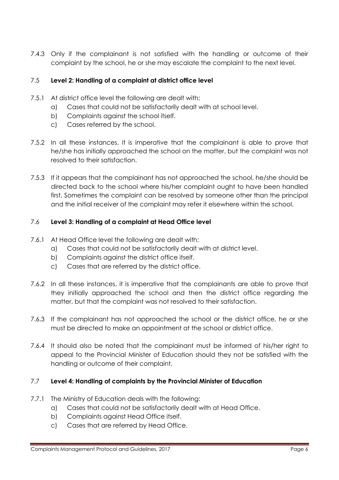7.4.3 Only if the complainant is not satisfied with the handling or outcome of their complaint by the school, he or she may escalate the complaint to the next level.

# 7.5 **Level 2: Handling of a complaint at district office level**

- 7.5.1 At district office level the following are dealt with:
	- a) Cases that could not be satisfactorily dealt with at school level.
	- b) Complaints against the school itself.
	- c) Cases referred by the school.
- 7.5.2 In all these instances, it is imperative that the complainant is able to prove that he/she has initially approached the school on the matter, but the complaint was not resolved to their satisfaction.
- 7.5.3 If it appears that the complainant has not approached the school, he/she should be directed back to the school where his/her complaint ought to have been handled first. Sometimes the complaint can be resolved by someone other than the principal and the initial receiver of the complaint may refer it elsewhere within the school.

## 7.6 **Level 3: Handling of a complaint at Head Office level**

- 7.6.1 At Head Office level the following are dealt with:
	- a) Cases that could not be satisfactorily dealt with at district level.
	- b) Complaints against the district office itself.
	- c) Cases that are referred by the district office.
- 7.6.2 In all these instances, it is imperative that the complainants are able to prove that they initially approached the school and then the district office regarding the matter, but that the complaint was not resolved to their satisfaction.
- 7.6.3 If the complainant has not approached the school or the district office, he or she must be directed to make an appointment at the school or district office.
- 7.6.4 It should also be noted that the complainant must be informed of his/her right to appeal to the Provincial Minister of Education should they not be satisfied with the handling or outcome of their complaint.

## 7.7 **Level 4: Handling of complaints by the Provincial Minister of Education**

- 7.7.1 The Ministry of Education deals with the following:
	- a) Cases that could not be satisfactorily dealt with at Head Office.
	- b) Complaints against Head Office itself.
	- c) Cases that are referred by Head Office.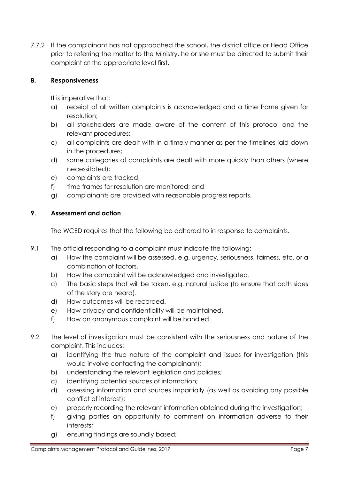7.7.2 If the complainant has not approached the school, the district office or Head Office prior to referring the matter to the Ministry, he or she must be directed to submit their complaint at the appropriate level first.

# **8. Responsiveness**

It is imperative that:

- a) receipt of all written complaints is acknowledged and a time frame given for resolution;
- b) all stakeholders are made aware of the content of this protocol and the relevant procedures;
- c) all complaints are dealt with in a timely manner as per the timelines laid down in the procedures;
- d) some categories of complaints are dealt with more quickly than others (where necessitated);
- e) complaints are tracked;
- f) time frames for resolution are monitored; and
- g) complainants are provided with reasonable progress reports.

# **9. Assessment and action**

The WCED requires that the following be adhered to in response to complaints.

- 9.1 The official responding to a complaint must indicate the following:
	- a) How the complaint will be assessed, e.g. urgency, seriousness, fairness, etc. or a combination of factors.
	- b) How the complaint will be acknowledged and investigated.
	- c) The basic steps that will be taken, e.g. natural justice (to ensure that both sides of the story are heard).
	- d) How outcomes will be recorded.
	- e) How privacy and confidentiality will be maintained.
	- f) How an anonymous complaint will be handled.
- 9.2 The level of investigation must be consistent with the seriousness and nature of the complaint. This includes:
	- a) identifying the true nature of the complaint and issues for investigation (this would involve contacting the complainant);
	- b) understanding the relevant legislation and policies;
	- c) identifying potential sources of information;
	- d) assessing information and sources impartially (as well as avoiding any possible conflict of interest);
	- e) properly recording the relevant information obtained during the investigation;
	- f) giving parties an opportunity to comment on information adverse to their interests;
	- g) ensuring findings are soundly based;